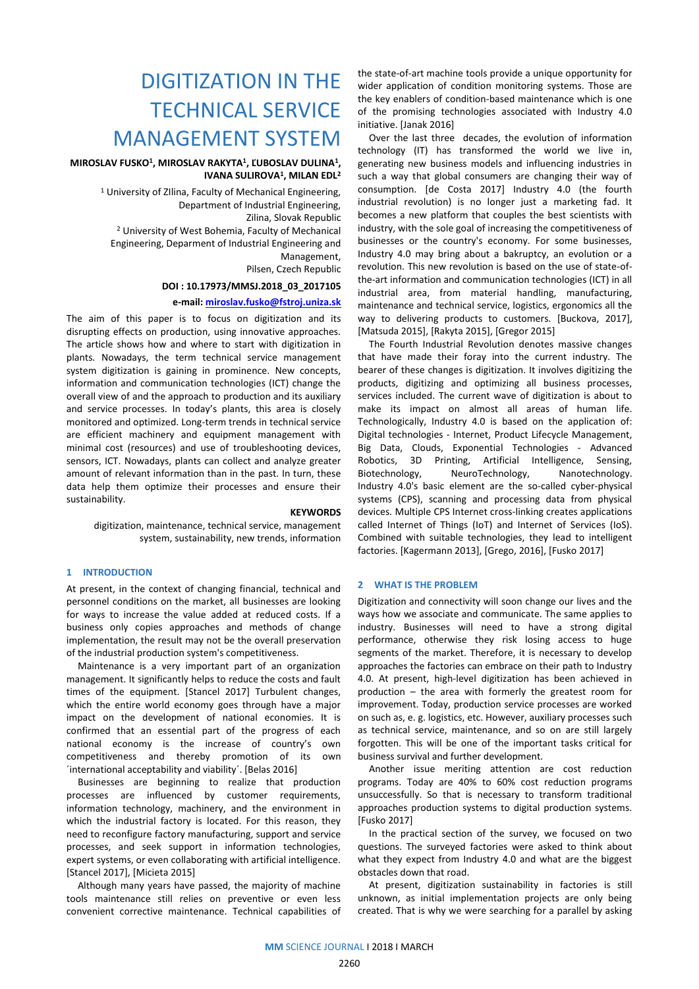# DIGITIZATION IN THE TECHNICAL SERVICE MANAGEMENT SYSTEM

# **MIROSLAV FUSKO<sup>1</sup>, MIROSLAV RAKYTA<sup>1</sup>, ĽUBOSLAV DULINA<sup>1</sup>, IVANA SULIROVA<sup>1</sup> , MILAN EDL<sup>2</sup>**

<sup>1</sup> University of Zilina, Faculty of Mechanical Engineering, Department of Industrial Engineering, Zilina, Slovak Republic <sup>2</sup> University of West Bohemia, Faculty of Mechanical Engineering, Deparment of Industrial Engineering and Management, Pilsen, Czech Republic

**DOI : 10.17973/MMSJ.2018\_03\_2017105**

# **e-mail[: miroslav.fusko@fstroj.uniza.sk](mailto:miroslav.fusko@fstroj.uniza.sk)**

The aim of this paper is to focus on digitization and its disrupting effects on production, using innovative approaches. The article shows how and where to start with digitization in plants. Nowadays, the term technical service management system digitization is gaining in prominence. New concepts, information and communication technologies (ICT) change the overall view of and the approach to production and its auxiliary and service processes. In today's plants, this area is closely monitored and optimized. Long-term trends in technical service are efficient machinery and equipment management with minimal cost (resources) and use of troubleshooting devices, sensors, ICT. Nowadays, plants can collect and analyze greater amount of relevant information than in the past. In turn, these data help them optimize their processes and ensure their sustainability.

#### **KEYWORDS**

digitization, maintenance, technical service, management system, sustainability, new trends, information

# **1 INTRODUCTION**

At present, in the context of changing financial, technical and personnel conditions on the market, all businesses are looking for ways to increase the value added at reduced costs. If a business only copies approaches and methods of change implementation, the result may not be the overall preservation of the industrial production system's competitiveness.

Maintenance is a very important part of an organization management. It significantly helps to reduce the costs and fault times of the equipment. [Stancel 2017] Turbulent changes, which the entire world economy goes through have a major impact on the development of national economies. It is confirmed that an essential part of the progress of each national economy is the increase of country's own competitiveness and thereby promotion of its own ´international acceptability and viability´. [Belas 2016]

Businesses are beginning to realize that production processes are influenced by customer requirements, information technology, machinery, and the environment in which the industrial factory is located. For this reason, they need to reconfigure factory manufacturing, support and service processes, and seek support in information technologies, expert systems, or even collaborating with artificial intelligence. [Stancel 2017], [Micieta 2015]

Although many years have passed, the majority of machine tools maintenance still relies on preventive or even less convenient corrective maintenance. Technical capabilities of the state-of-art machine tools provide a unique opportunity for wider application of condition monitoring systems. Those are the key enablers of condition-based maintenance which is one of the promising technologies associated with Industry 4.0 initiative. [Janak 2016]

Over the last three decades, the evolution of information technology (IT) has transformed the world we live in, generating new business models and influencing industries in such a way that global consumers are changing their way of consumption. [de Costa 2017] Industry 4.0 (the fourth industrial revolution) is no longer just a marketing fad. It becomes a new platform that couples the best scientists with industry, with the sole goal of increasing the competitiveness of businesses or the country's economy. For some businesses, Industry 4.0 may bring about a bakruptcy, an evolution or a revolution. This new revolution is based on the use of state-ofthe-art information and communication technologies (ICT) in all industrial area, from material handling, manufacturing, maintenance and technical service, logistics, ergonomics all the way to delivering products to customers. [Buckova, 2017], [Matsuda 2015], [Rakyta 2015], [Gregor 2015]

The Fourth Industrial Revolution denotes massive changes that have made their foray into the current industry. The bearer of these changes is digitization. It involves digitizing the products, digitizing and optimizing all business processes, services included. The current wave of digitization is about to make its impact on almost all areas of human life. Technologically, Industry 4.0 is based on the application of: Digital technologies - Internet, Product Lifecycle Management, Big Data, Clouds, Exponential Technologies - Advanced Robotics, 3D Printing, Artificial Intelligence, Sensing, Biotechnology, NeuroTechnology, Nanotechnology. Industry 4.0's basic element are the so-called cyber-physical systems (CPS), scanning and processing data from physical devices. Multiple CPS Internet cross-linking creates applications called Internet of Things (IoT) and Internet of Services (IoS). Combined with suitable technologies, they lead to intelligent factories. [Kagermann 2013], [Grego, 2016], [Fusko 2017]

# **2 WHAT IS THE PROBLEM**

Digitization and connectivity will soon change our lives and the ways how we associate and communicate. The same applies to industry. Businesses will need to have a strong digital performance, otherwise they risk losing access to huge segments of the market. Therefore, it is necessary to develop approaches the factories can embrace on their path to Industry 4.0. At present, high-level digitization has been achieved in production – the area with formerly the greatest room for improvement. Today, production service processes are worked on such as, e. g. logistics, etc. However, auxiliary processes such as technical service, maintenance, and so on are still largely forgotten. This will be one of the important tasks critical for business survival and further development.

Another issue meriting attention are cost reduction programs. Today are 40% to 60% cost reduction programs unsuccessfully. So that is necessary to transform traditional approaches production systems to digital production systems. [Fusko 2017]

In the practical section of the survey, we focused on two questions. The surveyed factories were asked to think about what they expect from Industry 4.0 and what are the biggest obstacles down that road.

At present, digitization sustainability in factories is still unknown, as initial implementation projects are only being created. That is why we were searching for a parallel by asking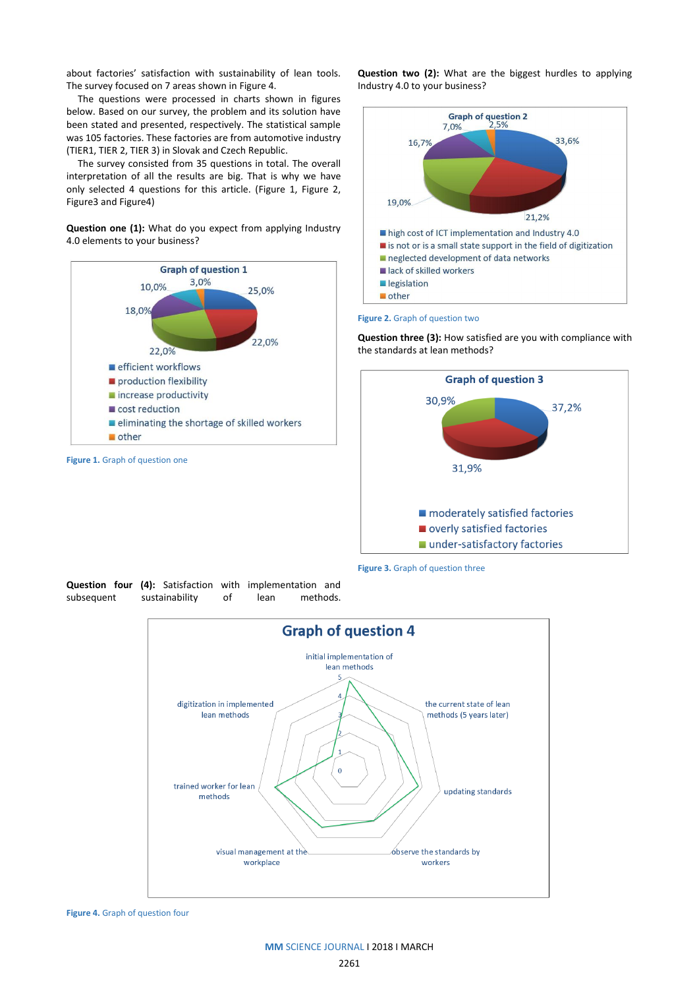about factories' satisfaction with sustainability of lean tools. The survey focused on 7 areas shown in Figure 4.

The questions were processed in charts shown in figures below. Based on our survey, the problem and its solution have been stated and presented, respectively. The statistical sample was 105 factories. These factories are from automotive industry (TIER1, TIER 2, TIER 3) in Slovak and Czech Republic.

The survey consisted from 35 questions in total. The overall interpretation of all the results are big. That is why we have only selected 4 questions for this article. (Figure 1, Figure 2, Figure3 and Figure4)

**Question one (1):** What do you expect from applying Industry 4.0 elements to your business?



**Question two (2):** What are the biggest hurdles to applying Industry 4.0 to your business?



#### **Figure 2.** Graph of question two

**Question three (3):** How satisfied are you with compliance with the standards at lean methods?



**Figure 3.** Graph of question three

**Question four (4):** Satisfaction with implementation and subsequent sustainability of lean methods.



**Figure 4.** Graph of question four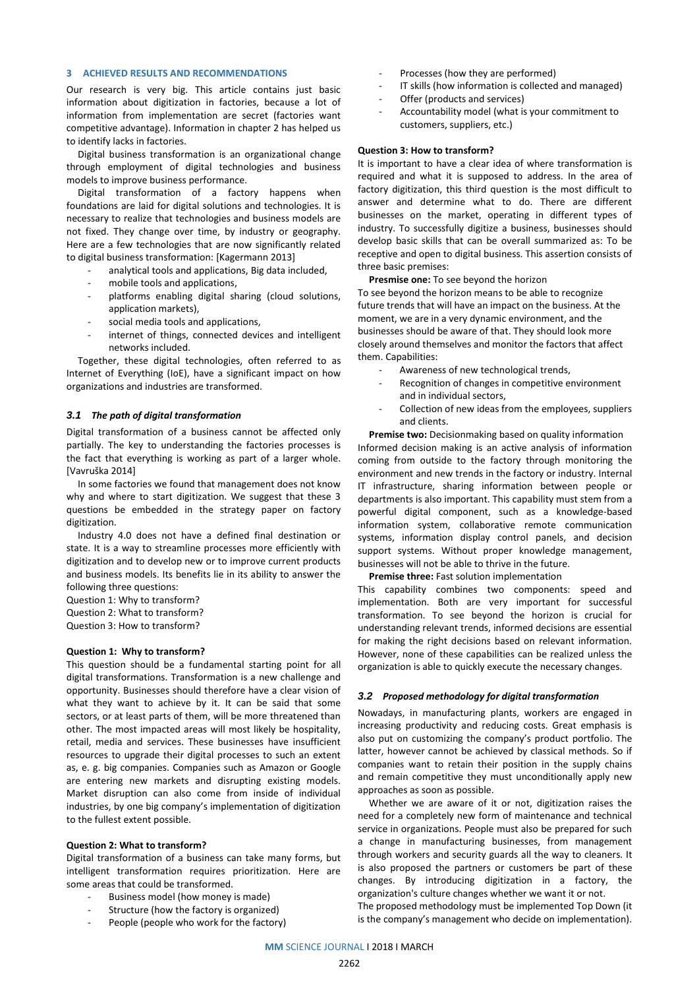# **3 ACHIEVED RESULTS AND RECOMMENDATIONS**

Our research is very big. This article contains just basic information about digitization in factories, because a lot of information from implementation are secret (factories want competitive advantage). Information in chapter 2 has helped us to identify lacks in factories.

Digital business transformation is an organizational change through employment of digital technologies and business models to improve business performance.

Digital transformation of a factory happens when foundations are laid for digital solutions and technologies. It is necessary to realize that technologies and business models are not fixed. They change over time, by industry or geography. Here are a few technologies that are now significantly related to digital business transformation: [Kagermann 2013]

- analytical tools and applications, Big data included,
- mobile tools and applications,
- platforms enabling digital sharing (cloud solutions, application markets),
- social media tools and applications,
- internet of things, connected devices and intelligent networks included.

Together, these digital technologies, often referred to as Internet of Everything (IoE), have a significant impact on how organizations and industries are transformed.

# *3.1 The path of digital transformation*

Digital transformation of a business cannot be affected only partially. The key to understanding the factories processes is the fact that everything is working as part of a larger whole. [Vavruška 2014]

In some factories we found that management does not know why and where to start digitization. We suggest that these 3 questions be embedded in the strategy paper on factory digitization.

Industry 4.0 does not have a defined final destination or state. It is a way to streamline processes more efficiently with digitization and to develop new or to improve current products and business models. Its benefits lie in its ability to answer the following three questions:

Question 1: Why to transform? Question 2: What to transform? Question 3: How to transform?

#### **Question 1: Why to transform?**

This question should be a fundamental starting point for all digital transformations. Transformation is a new challenge and opportunity. Businesses should therefore have a clear vision of what they want to achieve by it. It can be said that some sectors, or at least parts of them, will be more threatened than other. The most impacted areas will most likely be hospitality, retail, media and services. These businesses have insufficient resources to upgrade their digital processes to such an extent as, e. g. big companies. Companies such as Amazon or Google are entering new markets and disrupting existing models. Market disruption can also come from inside of individual industries, by one big company's implementation of digitization to the fullest extent possible.

#### **Question 2: What to transform?**

Digital transformation of a business can take many forms, but intelligent transformation requires prioritization. Here are some areas that could be transformed.

- Business model (how money is made)
- Structure (how the factory is organized)
- People (people who work for the factory)
- Processes (how they are performed)
- IT skills (how information is collected and managed)
- Offer (products and services)
- Accountability model (what is your commitment to customers, suppliers, etc.)

#### **Question 3: How to transform?**

It is important to have a clear idea of where transformation is required and what it is supposed to address. In the area of factory digitization, this third question is the most difficult to answer and determine what to do. There are different businesses on the market, operating in different types of industry. To successfully digitize a business, businesses should develop basic skills that can be overall summarized as: To be receptive and open to digital business. This assertion consists of three basic premises:

**Presmise one:** To see beyond the horizon

To see beyond the horizon means to be able to recognize future trends that will have an impact on the business. At the moment, we are in a very dynamic environment, and the businesses should be aware of that. They should look more closely around themselves and monitor the factors that affect them. Capabilities:

- Awareness of new technological trends,
- Recognition of changes in competitive environment and in individual sectors,
- Collection of new ideas from the employees, suppliers and clients.

**Premise two:** Decisionmaking based on quality information Informed decision making is an active analysis of information coming from outside to the factory through monitoring the environment and new trends in the factory or industry. Internal IT infrastructure, sharing information between people or departments is also important. This capability must stem from a powerful digital component, such as a knowledge-based information system, collaborative remote communication systems, information display control panels, and decision support systems. Without proper knowledge management, businesses will not be able to thrive in the future.

**Premise three:** Fast solution implementation

This capability combines two components: speed and implementation. Both are very important for successful transformation. To see beyond the horizon is crucial for understanding relevant trends, informed decisions are essential for making the right decisions based on relevant information. However, none of these capabilities can be realized unless the organization is able to quickly execute the necessary changes.

#### *3.2 Proposed methodology for digital transformation*

Nowadays, in manufacturing plants, workers are engaged in increasing productivity and reducing costs. Great emphasis is also put on customizing the company's product portfolio. The latter, however cannot be achieved by classical methods. So if companies want to retain their position in the supply chains and remain competitive they must unconditionally apply new approaches as soon as possible.

Whether we are aware of it or not, digitization raises the need for a completely new form of maintenance and technical service in organizations. People must also be prepared for such a change in manufacturing businesses, from management through workers and security guards all the way to cleaners. It is also proposed the partners or customers be part of these changes. By introducing digitization in a factory, the organization's culture changes whether we want it or not.

The proposed methodology must be implemented Top Down (it is the company's management who decide on implementation).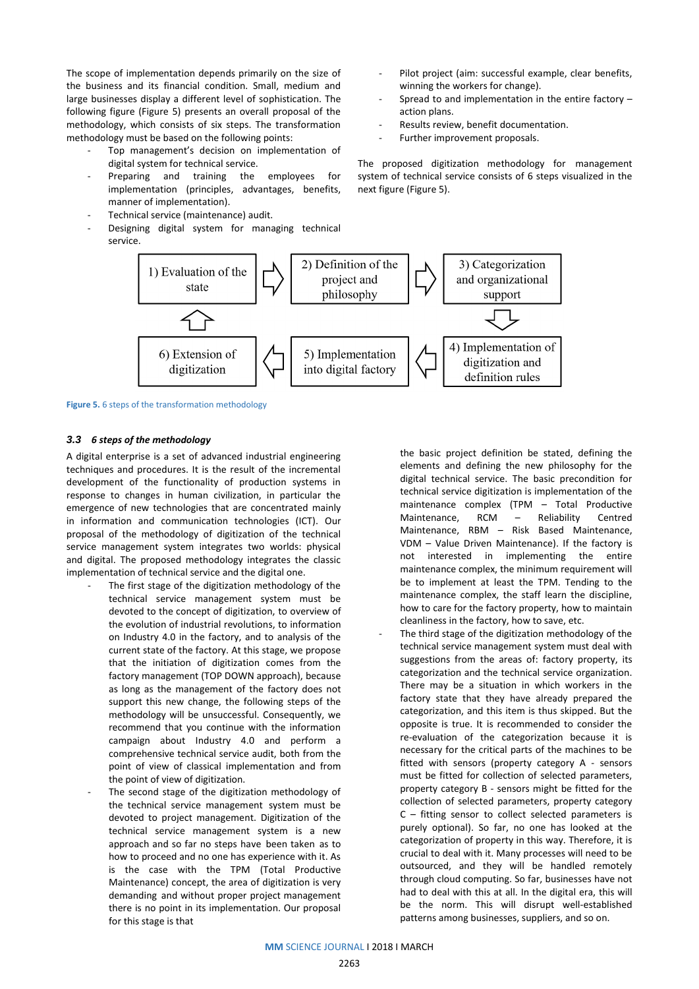The scope of implementation depends primarily on the size of the business and its financial condition. Small, medium and large businesses display a different level of sophistication. The following figure (Figure 5) presents an overall proposal of the methodology, which consists of six steps. The transformation methodology must be based on the following points:

- Top management's decision on implementation of digital system for technical service.
- Preparing and training the employees for implementation (principles, advantages, benefits, manner of implementation).
- Technical service (maintenance) audit.
- Designing digital system for managing technical service.
- Pilot project (aim: successful example, clear benefits, winning the workers for change).
- Spread to and implementation in the entire factory  $$ action plans.
- Results review, benefit documentation.
- Further improvement proposals.

The proposed digitization methodology for management system of technical service consists of 6 steps visualized in the next figure (Figure 5).



**Figure 5.** 6 steps of the transformation methodology

#### *3.3 6 steps of the methodology*

A digital enterprise is a set of advanced industrial engineering techniques and procedures. It is the result of the incremental development of the functionality of production systems in response to changes in human civilization, in particular the emergence of new technologies that are concentrated mainly in information and communication technologies (ICT). Our proposal of the methodology of digitization of the technical service management system integrates two worlds: physical and digital. The proposed methodology integrates the classic implementation of technical service and the digital one.

- The first stage of the digitization methodology of the technical service management system must be devoted to the concept of digitization, to overview of the evolution of industrial revolutions, to information on Industry 4.0 in the factory, and to analysis of the current state of the factory. At this stage, we propose that the initiation of digitization comes from the factory management (TOP DOWN approach), because as long as the management of the factory does not support this new change, the following steps of the methodology will be unsuccessful. Consequently, we recommend that you continue with the information campaign about Industry 4.0 and perform a comprehensive technical service audit, both from the point of view of classical implementation and from the point of view of digitization.
- The second stage of the digitization methodology of the technical service management system must be devoted to project management. Digitization of the technical service management system is a new approach and so far no steps have been taken as to how to proceed and no one has experience with it. As is the case with the TPM (Total Productive Maintenance) concept, the area of digitization is very demanding and without proper project management there is no point in its implementation. Our proposal for this stage is that

the basic project definition be stated, defining the elements and defining the new philosophy for the digital technical service. The basic precondition for technical service digitization is implementation of the maintenance complex (TPM – Total Productive Maintenance, RCM – Reliability Centred Maintenance, RBM – Risk Based Maintenance, VDM – Value Driven Maintenance). If the factory is not interested in implementing the entire maintenance complex, the minimum requirement will be to implement at least the TPM. Tending to the maintenance complex, the staff learn the discipline, how to care for the factory property, how to maintain cleanliness in the factory, how to save, etc.

The third stage of the digitization methodology of the technical service management system must deal with suggestions from the areas of: factory property, its categorization and the technical service organization. There may be a situation in which workers in the factory state that they have already prepared the categorization, and this item is thus skipped. But the opposite is true. It is recommended to consider the re-evaluation of the categorization because it is necessary for the critical parts of the machines to be fitted with sensors (property category A - sensors must be fitted for collection of selected parameters, property category B - sensors might be fitted for the collection of selected parameters, property category C – fitting sensor to collect selected parameters is purely optional). So far, no one has looked at the categorization of property in this way. Therefore, it is crucial to deal with it. Many processes will need to be outsourced, and they will be handled remotely through cloud computing. So far, businesses have not had to deal with this at all. In the digital era, this will be the norm. This will disrupt well-established patterns among businesses, suppliers, and so on.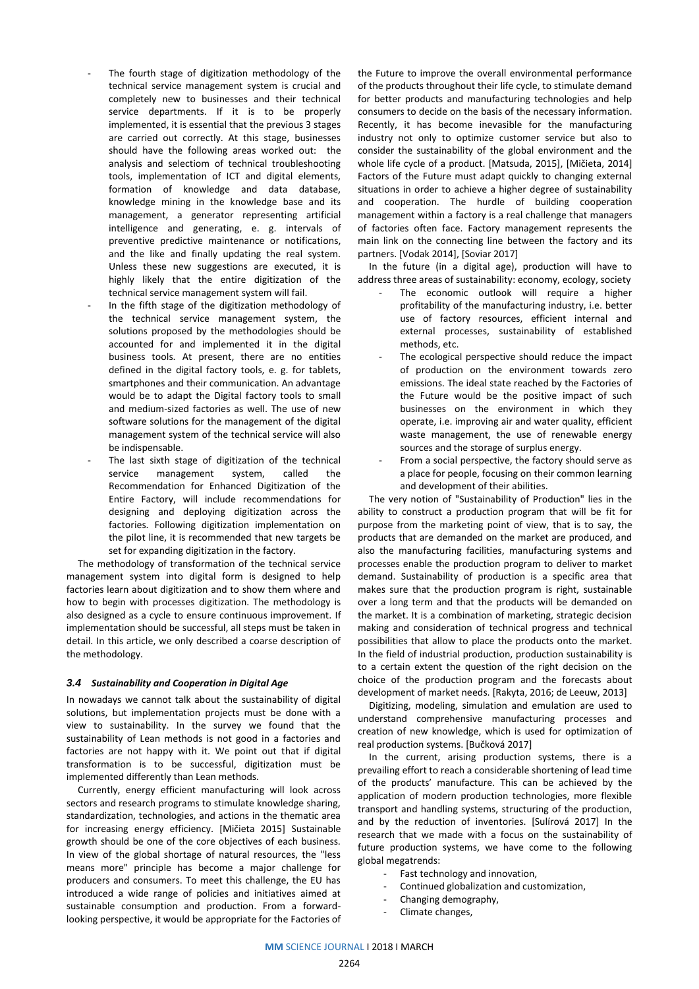- The fourth stage of digitization methodology of the technical service management system is crucial and completely new to businesses and their technical service departments. If it is to be properly implemented, it is essential that the previous 3 stages are carried out correctly. At this stage, businesses should have the following areas worked out: the analysis and selectiom of technical troubleshooting tools, implementation of ICT and digital elements, formation of knowledge and data database, knowledge mining in the knowledge base and its management, a generator representing artificial intelligence and generating, e. g. intervals of preventive predictive maintenance or notifications, and the like and finally updating the real system. Unless these new suggestions are executed, it is highly likely that the entire digitization of the technical service management system will fail.
- In the fifth stage of the digitization methodology of the technical service management system, the solutions proposed by the methodologies should be accounted for and implemented it in the digital business tools. At present, there are no entities defined in the digital factory tools, e. g. for tablets, smartphones and their communication. An advantage would be to adapt the Digital factory tools to small and medium-sized factories as well. The use of new software solutions for the management of the digital management system of the technical service will also be indispensable.
- The last sixth stage of digitization of the technical service management system, called the Recommendation for Enhanced Digitization of the Entire Factory, will include recommendations for designing and deploying digitization across the factories. Following digitization implementation on the pilot line, it is recommended that new targets be set for expanding digitization in the factory.

The methodology of transformation of the technical service management system into digital form is designed to help factories learn about digitization and to show them where and how to begin with processes digitization. The methodology is also designed as a cycle to ensure continuous improvement. If implementation should be successful, all steps must be taken in detail. In this article, we only described a coarse description of the methodology.

#### *3.4 Sustainability and Cooperation in Digital Age*

In nowadays we cannot talk about the sustainability of digital solutions, but implementation projects must be done with a view to sustainability. In the survey we found that the sustainability of Lean methods is not good in a factories and factories are not happy with it. We point out that if digital transformation is to be successful, digitization must be implemented differently than Lean methods.

Currently, energy efficient manufacturing will look across sectors and research programs to stimulate knowledge sharing, standardization, technologies, and actions in the thematic area for increasing energy efficiency. [Mičieta 2015] Sustainable growth should be one of the core objectives of each business. In view of the global shortage of natural resources, the "less means more" principle has become a major challenge for producers and consumers. To meet this challenge, the EU has introduced a wide range of policies and initiatives aimed at sustainable consumption and production. From a forwardlooking perspective, it would be appropriate for the Factories of

the Future to improve the overall environmental performance of the products throughout their life cycle, to stimulate demand for better products and manufacturing technologies and help consumers to decide on the basis of the necessary information. Recently, it has become inevasible for the manufacturing industry not only to optimize customer service but also to consider the sustainability of the global environment and the whole life cycle of a product. [Matsuda, 2015], [Mičieta, 2014] Factors of the Future must adapt quickly to changing external situations in order to achieve a higher degree of sustainability and cooperation. The hurdle of building cooperation management within a factory is a real challenge that managers of factories often face. Factory management represents the main link on the connecting line between the factory and its partners. [Vodak 2014], [Soviar 2017]

In the future (in a digital age), production will have to address three areas of sustainability: economy, ecology, society

- The economic outlook will require a higher profitability of the manufacturing industry, i.e. better use of factory resources, efficient internal and external processes, sustainability of established methods, etc.
- The ecological perspective should reduce the impact of production on the environment towards zero emissions. The ideal state reached by the Factories of the Future would be the positive impact of such businesses on the environment in which they operate, i.e. improving air and water quality, efficient waste management, the use of renewable energy sources and the storage of surplus energy.
- From a social perspective, the factory should serve as a place for people, focusing on their common learning and development of their abilities.

The very notion of "Sustainability of Production" lies in the ability to construct a production program that will be fit for purpose from the marketing point of view, that is to say, the products that are demanded on the market are produced, and also the manufacturing facilities, manufacturing systems and processes enable the production program to deliver to market demand. Sustainability of production is a specific area that makes sure that the production program is right, sustainable over a long term and that the products will be demanded on the market. It is a combination of marketing, strategic decision making and consideration of technical progress and technical possibilities that allow to place the products onto the market. In the field of industrial production, production sustainability is to a certain extent the question of the right decision on the choice of the production program and the forecasts about development of market needs. [Rakyta, 2016; de Leeuw, 2013]

Digitizing, modeling, simulation and emulation are used to understand comprehensive manufacturing processes and creation of new knowledge, which is used for optimization of real production systems. [Bučková 2017]

In the current, arising production systems, there is a prevailing effort to reach a considerable shortening of lead time of the products' manufacture. This can be achieved by the application of modern production technologies, more flexible transport and handling systems, structuring of the production, and by the reduction of inventories. [Sulírová 2017] In the research that we made with a focus on the sustainability of future production systems, we have come to the following global megatrends:

- Fast technology and innovation,
- Continued globalization and customization,
- Changing demography,
- Climate changes,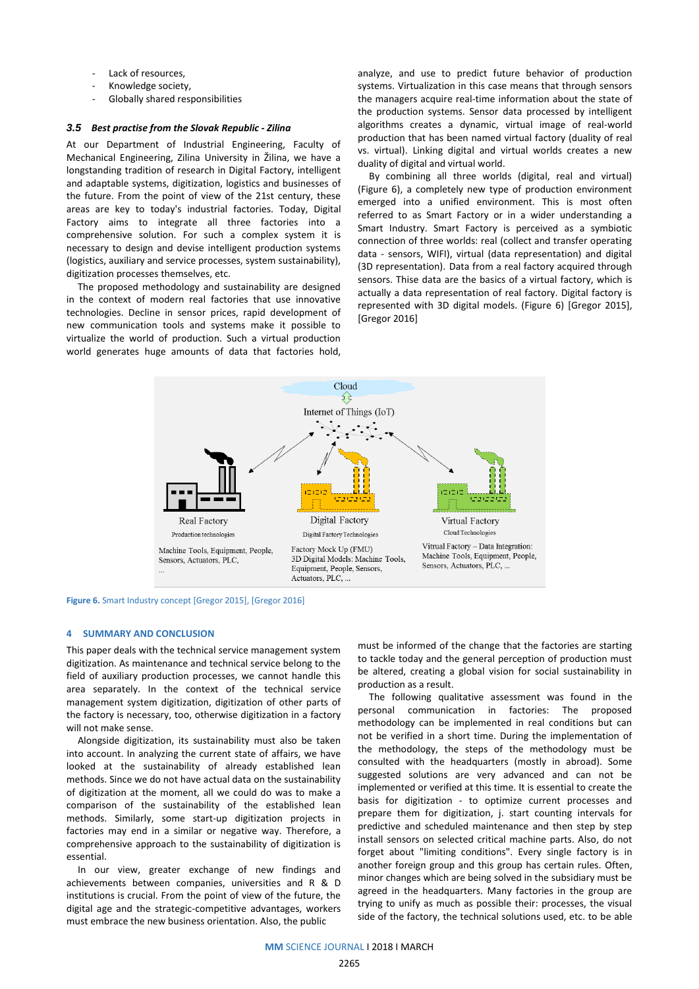- Lack of resources.
- Knowledge society.
- Globally shared responsibilities

#### *3.5 Best practise from the Slovak Republic - Zilina*

At our Department of Industrial Engineering, Faculty of Mechanical Engineering, Zilina University in Žilina, we have a longstanding tradition of research in Digital Factory, intelligent and adaptable systems, digitization, logistics and businesses of the future. From the point of view of the 21st century, these areas are key to today's industrial factories. Today, Digital Factory aims to integrate all three factories into a comprehensive solution. For such a complex system it is necessary to design and devise intelligent production systems (logistics, auxiliary and service processes, system sustainability), digitization processes themselves, etc.

The proposed methodology and sustainability are designed in the context of modern real factories that use innovative technologies. Decline in sensor prices, rapid development of new communication tools and systems make it possible to virtualize the world of production. Such a virtual production world generates huge amounts of data that factories hold, analyze, and use to predict future behavior of production systems. Virtualization in this case means that through sensors the managers acquire real-time information about the state of the production systems. Sensor data processed by intelligent algorithms creates a dynamic, virtual image of real-world production that has been named virtual factory (duality of real vs. virtual). Linking digital and virtual worlds creates a new duality of digital and virtual world.

By combining all three worlds (digital, real and virtual) (Figure 6), a completely new type of production environment emerged into a unified environment. This is most often referred to as Smart Factory or in a wider understanding a Smart Industry. Smart Factory is perceived as a symbiotic connection of three worlds: real (collect and transfer operating data - sensors, WIFI), virtual (data representation) and digital (3D representation). Data from a real factory acquired through sensors. Thise data are the basics of a virtual factory, which is actually a data representation of real factory. Digital factory is represented with 3D digital models. (Figure 6) [Gregor 2015], [Gregor 2016]



**Figure 6.** Smart Industry concept [Gregor 2015], [Gregor 2016]

#### **4 SUMMARY AND CONCLUSION**

This paper deals with the technical service management system digitization. As maintenance and technical service belong to the field of auxiliary production processes, we cannot handle this area separately. In the context of the technical service management system digitization, digitization of other parts of the factory is necessary, too, otherwise digitization in a factory will not make sense.

Alongside digitization, its sustainability must also be taken into account. In analyzing the current state of affairs, we have looked at the sustainability of already established lean methods. Since we do not have actual data on the sustainability of digitization at the moment, all we could do was to make a comparison of the sustainability of the established lean methods. Similarly, some start-up digitization projects in factories may end in a similar or negative way. Therefore, a comprehensive approach to the sustainability of digitization is essential.

In our view, greater exchange of new findings and achievements between companies, universities and R & D institutions is crucial. From the point of view of the future, the digital age and the strategic-competitive advantages, workers must embrace the new business orientation. Also, the public

must be informed of the change that the factories are starting to tackle today and the general perception of production must be altered, creating a global vision for social sustainability in production as a result.

The following qualitative assessment was found in the personal communication in factories: The proposed methodology can be implemented in real conditions but can not be verified in a short time. During the implementation of the methodology, the steps of the methodology must be consulted with the headquarters (mostly in abroad). Some suggested solutions are very advanced and can not be implemented or verified at this time. It is essential to create the basis for digitization - to optimize current processes and prepare them for digitization, j. start counting intervals for predictive and scheduled maintenance and then step by step install sensors on selected critical machine parts. Also, do not forget about "limiting conditions". Every single factory is in another foreign group and this group has certain rules. Often, minor changes which are being solved in the subsidiary must be agreed in the headquarters. Many factories in the group are trying to unify as much as possible their: processes, the visual side of the factory, the technical solutions used, etc. to be able